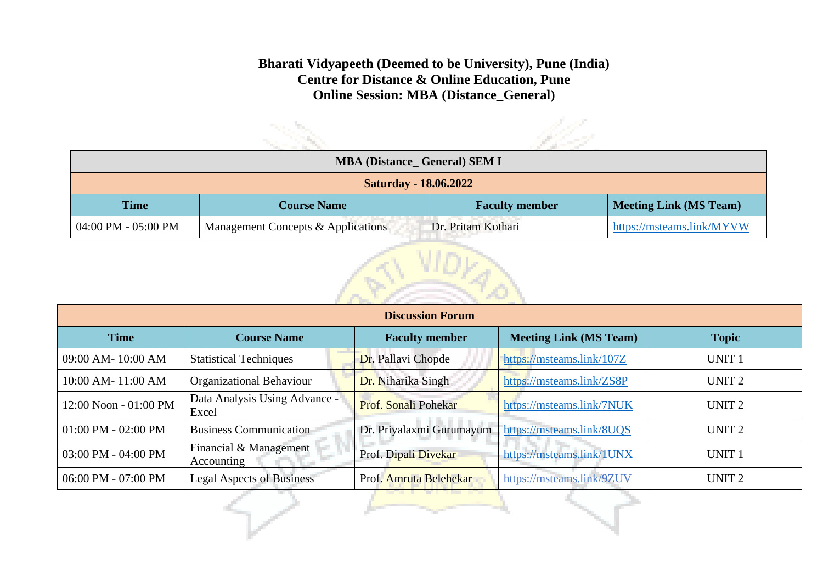## **Bharati Vidyapeeth (Deemed to be University), Pune (India) Centre for Distance & Online Education, Pune Online Session: MBA (Distance\_General)**

| <b>MBA (Distance_ General) SEM I</b> |                                    |                       |                               |  |
|--------------------------------------|------------------------------------|-----------------------|-------------------------------|--|
| <b>Saturday - 18.06.2022</b>         |                                    |                       |                               |  |
| <b>Time</b>                          | <b>Course Name</b>                 | <b>Faculty member</b> | <b>Meeting Link (MS Team)</b> |  |
| 04:00 PM - 05:00 PM                  | Management Concepts & Applications | Dr. Pritam Kothari    | https://msteams.link/MYVW     |  |



| <b>Discussion Forum</b> |                                        |                             |                               |                   |  |
|-------------------------|----------------------------------------|-----------------------------|-------------------------------|-------------------|--|
| <b>Time</b>             | <b>Course Name</b>                     | <b>Faculty member</b>       | <b>Meeting Link (MS Team)</b> | <b>Topic</b>      |  |
| 09:00 AM-10:00 AM       | <b>Statistical Techniques</b>          | Dr. Pallavi Chopde          | https://msteams.link/107Z     | <b>UNIT1</b>      |  |
| 10:00 AM-11:00 AM       | <b>Organizational Behaviour</b>        | Dr. Niharika Singh          | https://msteams.link/ZS8P     | UNIT <sub>2</sub> |  |
| 12:00 Noon - 01:00 PM   | Data Analysis Using Advance -<br>Excel | <b>Prof. Sonali Pohekar</b> | https://msteams.link/7NUK     | UNIT <sub>2</sub> |  |
| $01:00$ PM - $02:00$ PM | <b>Business Communication</b>          | Dr. Priyalaxmi Gurumayum    | https://msteams.link/8UQS     | UNIT <sub>2</sub> |  |
| 03:00 PM - 04:00 PM     | Financial & Management<br>Accounting   | Prof. Dipali Divekar        | https://msteams.link/1UNX     | <b>UNIT 1</b>     |  |
| 06:00 PM - 07:00 PM     | <b>Legal Aspects of Business</b>       | Prof. Amruta Belehekar      | https://msteams.link/9ZUV     | UNIT <sub>2</sub> |  |
|                         |                                        | المستعملين والمستحدث        |                               |                   |  |